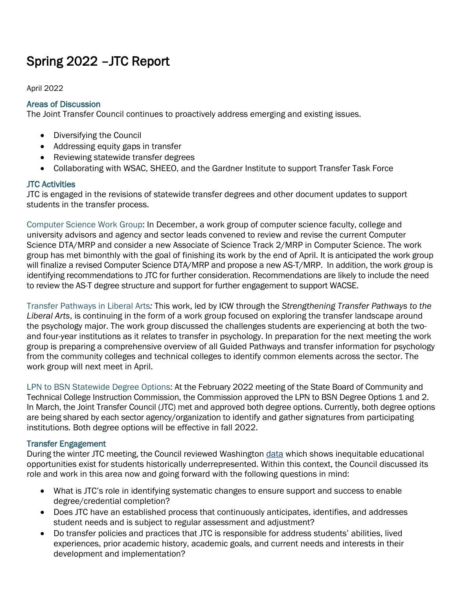# Spring 2022 –JTC Report

April 2022

## Areas of Discussion

The Joint Transfer Council continues to proactively address emerging and existing issues.

- Diversifying the Council
- Addressing equity gaps in transfer
- Reviewing statewide transfer degrees
- Collaborating with WSAC, SHEEO, and the Gardner Institute to support Transfer Task Force

### JTC Activities

JTC is engaged in the revisions of statewide transfer degrees and other document updates to support students in the transfer process.

Computer Science Work Group: In December, a work group of computer science faculty, college and university advisors and agency and sector leads convened to review and revise the current Computer Science DTA/MRP and consider a new Associate of Science Track 2/MRP in Computer Science. The work group has met bimonthly with the goal of finishing its work by the end of April. It is anticipated the work group will finalize a revised Computer Science DTA/MRP and propose a new AS-T/MRP. In addition, the work group is identifying recommendations to JTC for further consideration. Recommendations are likely to include the need to review the AS-T degree structure and support for further engagement to support WACSE.

Transfer Pathways in Liberal Arts*:* This work, led by ICW through the *Strengthening Transfer Pathways to the Liberal Arts*, is continuing in the form of a work group focused on exploring the transfer landscape around the psychology major. The work group discussed the challenges students are experiencing at both the twoand four-year institutions as it relates to transfer in psychology. In preparation for the next meeting the work group is preparing a comprehensive overview of all Guided Pathways and transfer information for psychology from the community colleges and technical colleges to identify common elements across the sector. The work group will next meet in April.

LPN to BSN Statewide Degree Options: At the February 2022 meeting of the State Board of Community and Technical College Instruction Commission, the Commission approved the LPN to BSN Degree Options 1 and 2. In March, the Joint Transfer Council (JTC) met and approved both degree options. Currently, both degree options are being shared by each sector agency/organization to identify and gather signatures from participating institutions. Both degree options will be effective in fall 2022.

### Transfer Engagement

During the winter JTC meeting, the Council reviewed Washington [data](https://wsac.wa.gov/sites/default/files/TransferReport2021Final.pdf) which shows inequitable educational opportunities exist for students historically underrepresented. Within this context, the Council discussed its role and work in this area now and going forward with the following questions in mind:

- What is JTC's role in identifying systematic changes to ensure support and success to enable degree/credential completion?
- Does JTC have an established process that continuously anticipates, identifies, and addresses student needs and is subject to regular assessment and adjustment?
- Do transfer policies and practices that JTC is responsible for address students' abilities, lived experiences, prior academic history, academic goals, and current needs and interests in their development and implementation?